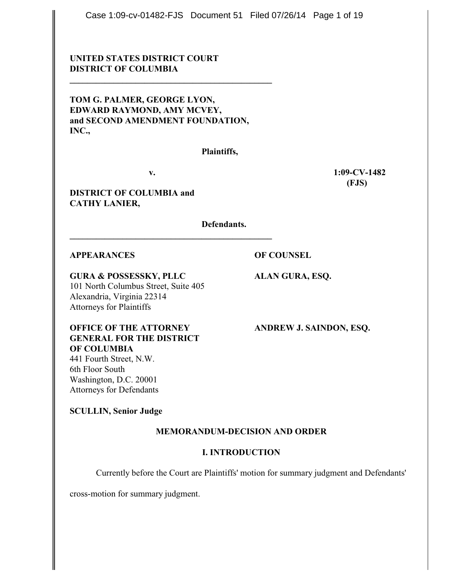Case 1:09-cv-01482-FJS Document 51 Filed 07/26/14 Page 1 of 19

# **UNITED STATES DISTRICT COURT DISTRICT OF COLUMBIA**

**TOM G. PALMER, GEORGE LYON, EDWARD RAYMOND, AMY MCVEY, and SECOND AMENDMENT FOUNDATION, INC.,**

**\_\_\_\_\_\_\_\_\_\_\_\_\_\_\_\_\_\_\_\_\_\_\_\_\_\_\_\_\_\_\_\_\_\_\_\_\_\_\_\_\_\_\_\_\_\_**

**Plaintiffs,**

**\_\_\_\_\_\_\_\_\_\_\_\_\_\_\_\_\_\_\_\_\_\_\_\_\_\_\_\_\_\_\_\_\_\_\_\_\_\_\_\_\_\_\_\_\_\_**

**v. 1:09-CV-1482 (FJS)**

**DISTRICT OF COLUMBIA and CATHY LANIER,**

**Defendants.**

## **APPEARANCES OF COUNSEL**

**GURA & POSSESSKY, PLLC ALAN GURA, ESQ.** 101 North Columbus Street, Suite 405 Alexandria, Virginia 22314 Attorneys for Plaintiffs

**OFFICE OF THE ATTORNEY ANDREW J. SAINDON, ESQ. GENERAL FOR THE DISTRICT OF COLUMBIA** 441 Fourth Street, N.W.

6th Floor South Washington, D.C. 20001 Attorneys for Defendants

**SCULLIN, Senior Judge**

## **MEMORANDUM-DECISION AND ORDER**

# **I. INTRODUCTION**

Currently before the Court are Plaintiffs' motion for summary judgment and Defendants'

cross-motion for summary judgment.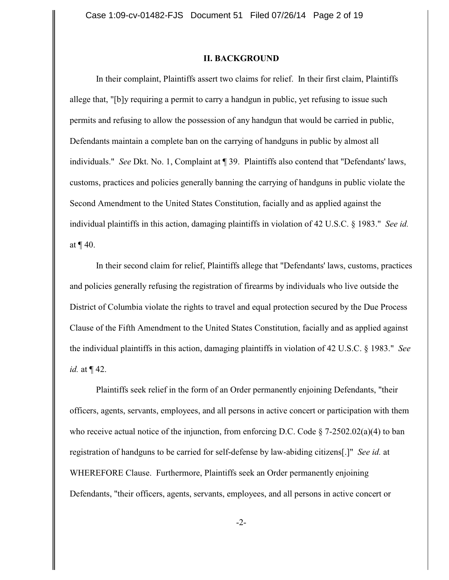### **II. BACKGROUND**

In their complaint, Plaintiffs assert two claims for relief. In their first claim, Plaintiffs allege that, "[b]y requiring a permit to carry a handgun in public, yet refusing to issue such permits and refusing to allow the possession of any handgun that would be carried in public, Defendants maintain a complete ban on the carrying of handguns in public by almost all individuals." *See* Dkt. No. 1, Complaint at ¶ 39. Plaintiffs also contend that "Defendants' laws, customs, practices and policies generally banning the carrying of handguns in public violate the Second Amendment to the United States Constitution, facially and as applied against the individual plaintiffs in this action, damaging plaintiffs in violation of 42 U.S.C. § 1983." *See id.* at ¶ 40.

In their second claim for relief, Plaintiffs allege that "Defendants' laws, customs, practices and policies generally refusing the registration of firearms by individuals who live outside the District of Columbia violate the rights to travel and equal protection secured by the Due Process Clause of the Fifth Amendment to the United States Constitution, facially and as applied against the individual plaintiffs in this action, damaging plaintiffs in violation of 42 U.S.C. § 1983." *See id.* at ¶ 42.

Plaintiffs seek relief in the form of an Order permanently enjoining Defendants, "their officers, agents, servants, employees, and all persons in active concert or participation with them who receive actual notice of the injunction, from enforcing D.C. Code  $\S$  7-2502.02(a)(4) to ban registration of handguns to be carried for self-defense by law-abiding citizens[.]" *See id.* at WHEREFORE Clause. Furthermore, Plaintiffs seek an Order permanently enjoining Defendants, "their officers, agents, servants, employees, and all persons in active concert or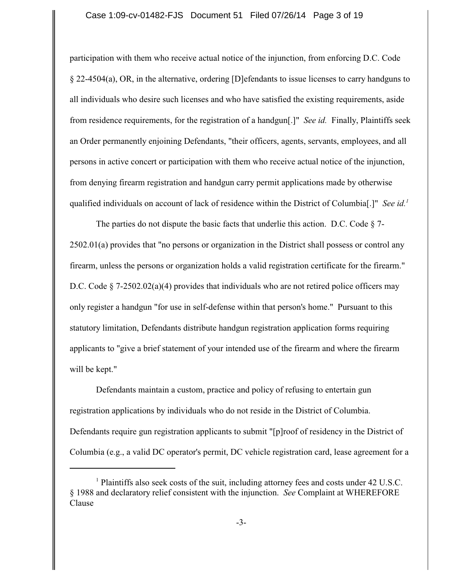### Case 1:09-cv-01482-FJS Document 51 Filed 07/26/14 Page 3 of 19

participation with them who receive actual notice of the injunction, from enforcing D.C. Code § 22-4504(a), OR, in the alternative, ordering [D]efendants to issue licenses to carry handguns to all individuals who desire such licenses and who have satisfied the existing requirements, aside from residence requirements, for the registration of a handgun[.]" *See id.* Finally, Plaintiffs seek an Order permanently enjoining Defendants, "their officers, agents, servants, employees, and all persons in active concert or participation with them who receive actual notice of the injunction, from denying firearm registration and handgun carry permit applications made by otherwise qualified individuals on account of lack of residence within the District of Columbia[.]" *See id.<sup>1</sup>*

The parties do not dispute the basic facts that underlie this action. D.C. Code  $\S$  7-2502.01(a) provides that "no persons or organization in the District shall possess or control any firearm, unless the persons or organization holds a valid registration certificate for the firearm." D.C. Code § 7-2502.02(a)(4) provides that individuals who are not retired police officers may only register a handgun "for use in self-defense within that person's home." Pursuant to this statutory limitation, Defendants distribute handgun registration application forms requiring applicants to "give a brief statement of your intended use of the firearm and where the firearm will be kept."

Defendants maintain a custom, practice and policy of refusing to entertain gun registration applications by individuals who do not reside in the District of Columbia. Defendants require gun registration applicants to submit "[p]roof of residency in the District of Columbia (e.g., a valid DC operator's permit, DC vehicle registration card, lease agreement for a

<sup>&</sup>lt;sup>1</sup> Plaintiffs also seek costs of the suit, including attorney fees and costs under 42 U.S.C. § 1988 and declaratory relief consistent with the injunction. *See* Complaint at WHEREFORE Clause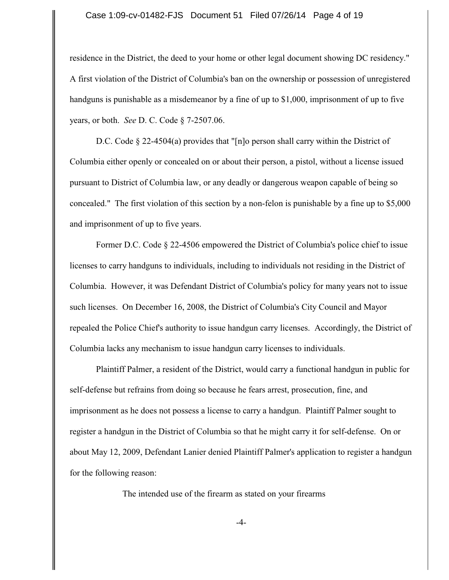#### Case 1:09-cv-01482-FJS Document 51 Filed 07/26/14 Page 4 of 19

residence in the District, the deed to your home or other legal document showing DC residency." A first violation of the District of Columbia's ban on the ownership or possession of unregistered handguns is punishable as a misdemeanor by a fine of up to \$1,000, imprisonment of up to five years, or both. *See* D. C. Code § 7-2507.06.

D.C. Code § 22-4504(a) provides that "[n]o person shall carry within the District of Columbia either openly or concealed on or about their person, a pistol, without a license issued pursuant to District of Columbia law, or any deadly or dangerous weapon capable of being so concealed." The first violation of this section by a non-felon is punishable by a fine up to \$5,000 and imprisonment of up to five years.

Former D.C. Code § 22-4506 empowered the District of Columbia's police chief to issue licenses to carry handguns to individuals, including to individuals not residing in the District of Columbia. However, it was Defendant District of Columbia's policy for many years not to issue such licenses. On December 16, 2008, the District of Columbia's City Council and Mayor repealed the Police Chief's authority to issue handgun carry licenses. Accordingly, the District of Columbia lacks any mechanism to issue handgun carry licenses to individuals.

Plaintiff Palmer, a resident of the District, would carry a functional handgun in public for self-defense but refrains from doing so because he fears arrest, prosecution, fine, and imprisonment as he does not possess a license to carry a handgun. Plaintiff Palmer sought to register a handgun in the District of Columbia so that he might carry it for self-defense. On or about May 12, 2009, Defendant Lanier denied Plaintiff Palmer's application to register a handgun for the following reason:

The intended use of the firearm as stated on your firearms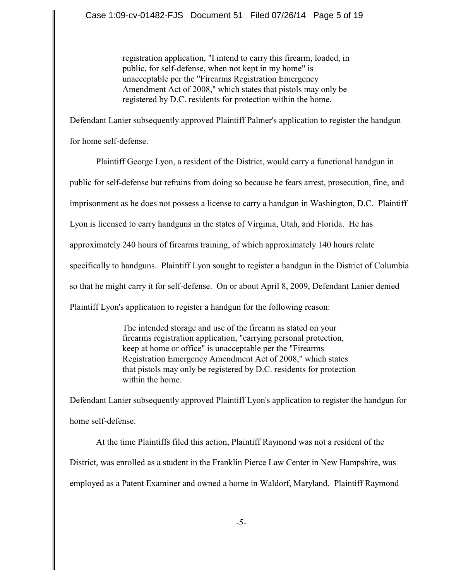registration application, "I intend to carry this firearm, loaded, in public, for self-defense, when not kept in my home" is unacceptable per the "Firearms Registration Emergency Amendment Act of 2008," which states that pistols may only be registered by D.C. residents for protection within the home.

Defendant Lanier subsequently approved Plaintiff Palmer's application to register the handgun for home self-defense.

Plaintiff George Lyon, a resident of the District, would carry a functional handgun in public for self-defense but refrains from doing so because he fears arrest, prosecution, fine, and imprisonment as he does not possess a license to carry a handgun in Washington, D.C. Plaintiff Lyon is licensed to carry handguns in the states of Virginia, Utah, and Florida. He has approximately 240 hours of firearms training, of which approximately 140 hours relate specifically to handguns. Plaintiff Lyon sought to register a handgun in the District of Columbia so that he might carry it for self-defense. On or about April 8, 2009, Defendant Lanier denied Plaintiff Lyon's application to register a handgun for the following reason:

> The intended storage and use of the firearm as stated on your firearms registration application, "carrying personal protection, keep at home or office" is unacceptable per the "Firearms Registration Emergency Amendment Act of 2008," which states that pistols may only be registered by D.C. residents for protection within the home.

Defendant Lanier subsequently approved Plaintiff Lyon's application to register the handgun for home self-defense.

At the time Plaintiffs filed this action, Plaintiff Raymond was not a resident of the District, was enrolled as a student in the Franklin Pierce Law Center in New Hampshire, was employed as a Patent Examiner and owned a home in Waldorf, Maryland. Plaintiff Raymond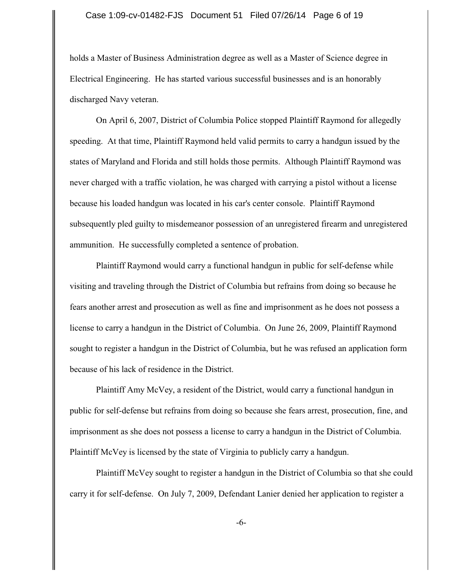#### Case 1:09-cv-01482-FJS Document 51 Filed 07/26/14 Page 6 of 19

holds a Master of Business Administration degree as well as a Master of Science degree in Electrical Engineering. He has started various successful businesses and is an honorably discharged Navy veteran.

On April 6, 2007, District of Columbia Police stopped Plaintiff Raymond for allegedly speeding. At that time, Plaintiff Raymond held valid permits to carry a handgun issued by the states of Maryland and Florida and still holds those permits. Although Plaintiff Raymond was never charged with a traffic violation, he was charged with carrying a pistol without a license because his loaded handgun was located in his car's center console. Plaintiff Raymond subsequently pled guilty to misdemeanor possession of an unregistered firearm and unregistered ammunition. He successfully completed a sentence of probation.

Plaintiff Raymond would carry a functional handgun in public for self-defense while visiting and traveling through the District of Columbia but refrains from doing so because he fears another arrest and prosecution as well as fine and imprisonment as he does not possess a license to carry a handgun in the District of Columbia. On June 26, 2009, Plaintiff Raymond sought to register a handgun in the District of Columbia, but he was refused an application form because of his lack of residence in the District.

Plaintiff Amy McVey, a resident of the District, would carry a functional handgun in public for self-defense but refrains from doing so because she fears arrest, prosecution, fine, and imprisonment as she does not possess a license to carry a handgun in the District of Columbia. Plaintiff McVey is licensed by the state of Virginia to publicly carry a handgun.

Plaintiff McVey sought to register a handgun in the District of Columbia so that she could carry it for self-defense. On July 7, 2009, Defendant Lanier denied her application to register a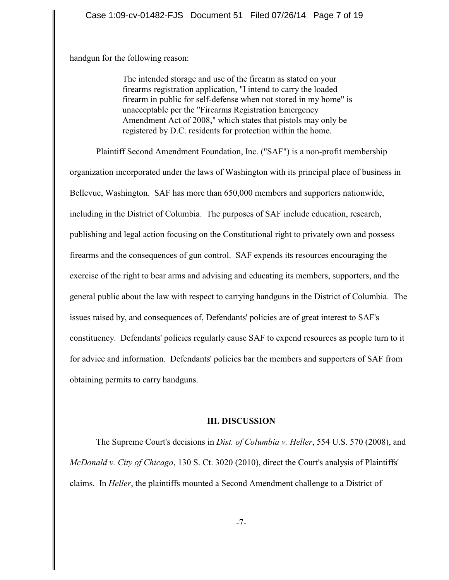handgun for the following reason:

The intended storage and use of the firearm as stated on your firearms registration application, "I intend to carry the loaded firearm in public for self-defense when not stored in my home" is unacceptable per the "Firearms Registration Emergency Amendment Act of 2008," which states that pistols may only be registered by D.C. residents for protection within the home.

Plaintiff Second Amendment Foundation, Inc. ("SAF") is a non-profit membership

organization incorporated under the laws of Washington with its principal place of business in Bellevue, Washington. SAF has more than 650,000 members and supporters nationwide, including in the District of Columbia. The purposes of SAF include education, research, publishing and legal action focusing on the Constitutional right to privately own and possess firearms and the consequences of gun control. SAF expends its resources encouraging the exercise of the right to bear arms and advising and educating its members, supporters, and the general public about the law with respect to carrying handguns in the District of Columbia. The issues raised by, and consequences of, Defendants' policies are of great interest to SAF's constituency. Defendants' policies regularly cause SAF to expend resources as people turn to it for advice and information. Defendants' policies bar the members and supporters of SAF from obtaining permits to carry handguns.

#### **III. DISCUSSION**

The Supreme Court's decisions in *Dist. of Columbia v. Heller*, 554 U.S. 570 (2008), and *McDonald v. City of Chicago*, 130 S. Ct. 3020 (2010), direct the Court's analysis of Plaintiffs' claims. In *Heller*, the plaintiffs mounted a Second Amendment challenge to a District of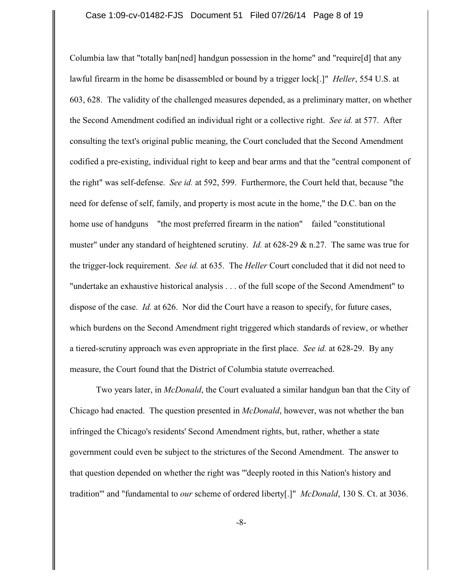Columbia law that "totally ban[ned] handgun possession in the home" and "require[d] that any lawful firearm in the home be disassembled or bound by a trigger lock[.]" *Heller*, 554 U.S. at 603, 628. The validity of the challenged measures depended, as a preliminary matter, on whether the Second Amendment codified an individual right or a collective right. *See id.* at 577. After consulting the text's original public meaning, the Court concluded that the Second Amendment codified a pre-existing, individual right to keep and bear arms and that the "central component of the right" was self-defense. *See id.* at 592, 599. Furthermore, the Court held that, because "the need for defense of self, family, and property is most acute in the home," the D.C. ban on the home use of handguns "the most preferred firearm in the nation" failed "constitutional" muster" under any standard of heightened scrutiny. *Id.* at 628-29 & n.27. The same was true for the trigger-lock requirement. *See id.* at 635. The *Heller* Court concluded that it did not need to "undertake an exhaustive historical analysis . . . of the full scope of the Second Amendment" to dispose of the case. *Id.* at 626. Nor did the Court have a reason to specify, for future cases, which burdens on the Second Amendment right triggered which standards of review, or whether a tiered-scrutiny approach was even appropriate in the first place. *See id.* at 628-29. By any measure, the Court found that the District of Columbia statute overreached.

Two years later, in *McDonald*, the Court evaluated a similar handgun ban that the City of Chicago had enacted. The question presented in *McDonald*, however, was not whether the ban infringed the Chicago's residents' Second Amendment rights, but, rather, whether a state government could even be subject to the strictures of the Second Amendment. The answer to that question depended on whether the right was "'deeply rooted in this Nation's history and tradition'" and "fundamental to *our* scheme of ordered liberty[.]" *McDonald*, 130 S. Ct. at 3036.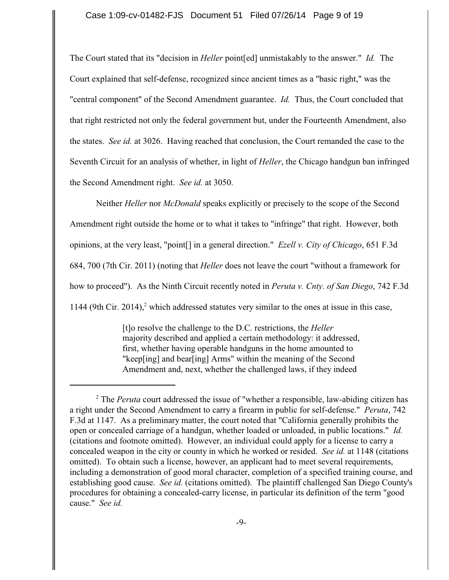The Court stated that its "decision in *Heller* point[ed] unmistakably to the answer." *Id.* The Court explained that self-defense, recognized since ancient times as a "basic right," was the "central component" of the Second Amendment guarantee. *Id.* Thus, the Court concluded that that right restricted not only the federal government but, under the Fourteenth Amendment, also the states. *See id.* at 3026. Having reached that conclusion, the Court remanded the case to the Seventh Circuit for an analysis of whether, in light of *Heller*, the Chicago handgun ban infringed the Second Amendment right. *See id.* at 3050.

Neither *Heller* nor *McDonald* speaks explicitly or precisely to the scope of the Second Amendment right outside the home or to what it takes to "infringe" that right. However, both opinions, at the very least, "point[] in a general direction." *Ezell v. City of Chicago*, 651 F.3d 684, 700 (7th Cir. 2011) (noting that *Heller* does not leave the court "without a framework for how to proceed"). As the Ninth Circuit recently noted in *Peruta v. Cnty. of San Diego*, 742 F.3d 1144 (9th Cir. 2014), $^2$  which addressed statutes very similar to the ones at issue in this case,

> [t]o resolve the challenge to the D.C. restrictions, the *Heller* majority described and applied a certain methodology: it addressed, first, whether having operable handguns in the home amounted to "keep[ing] and bear[ing] Arms" within the meaning of the Second Amendment and, next, whether the challenged laws, if they indeed

<sup>&</sup>lt;sup>2</sup> The *Peruta* court addressed the issue of "whether a responsible, law-abiding citizen has a right under the Second Amendment to carry a firearm in public for self-defense." *Peruta*, 742 F.3d at 1147. As a preliminary matter, the court noted that "California generally prohibits the open or concealed carriage of a handgun, whether loaded or unloaded, in public locations." *Id.* (citations and footnote omitted). However, an individual could apply for a license to carry a concealed weapon in the city or county in which he worked or resided. *See id.* at 1148 (citations omitted). To obtain such a license, however, an applicant had to meet several requirements, including a demonstration of good moral character, completion of a specified training course, and establishing good cause. *See id.* (citations omitted). The plaintiff challenged San Diego County's procedures for obtaining a concealed-carry license, in particular its definition of the term "good cause." *See id.*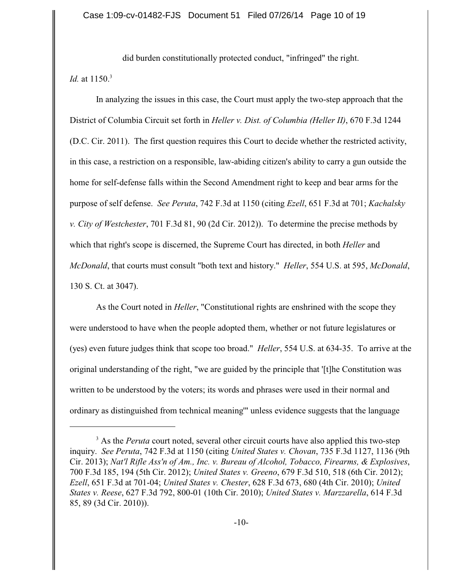did burden constitutionally protected conduct, "infringed" the right. *Id.* at 1150.<sup>3</sup>

In analyzing the issues in this case, the Court must apply the two-step approach that the District of Columbia Circuit set forth in *Heller v. Dist. of Columbia (Heller II)*, 670 F.3d 1244 (D.C. Cir. 2011). The first question requires this Court to decide whether the restricted activity, in this case, a restriction on a responsible, law-abiding citizen's ability to carry a gun outside the home for self-defense falls within the Second Amendment right to keep and bear arms for the purpose of self defense. *See Peruta*, 742 F.3d at 1150 (citing *Ezell*, 651 F.3d at 701; *Kachalsky v. City of Westchester*, 701 F.3d 81, 90 (2d Cir. 2012)). To determine the precise methods by which that right's scope is discerned, the Supreme Court has directed, in both *Heller* and *McDonald*, that courts must consult "both text and history." *Heller*, 554 U.S. at 595, *McDonald*, 130 S. Ct. at 3047).

As the Court noted in *Heller*, "Constitutional rights are enshrined with the scope they were understood to have when the people adopted them, whether or not future legislatures or (yes) even future judges think that scope too broad." *Heller*, 554 U.S. at 634-35. To arrive at the original understanding of the right, "we are guided by the principle that '[t]he Constitution was written to be understood by the voters; its words and phrases were used in their normal and ordinary as distinguished from technical meaning'" unless evidence suggests that the language

<sup>&</sup>lt;sup>3</sup> As the *Peruta* court noted, several other circuit courts have also applied this two-step inquiry. *See Peruta*, 742 F.3d at 1150 (citing *United States v. Chovan*, 735 F.3d 1127, 1136 (9th Cir. 2013); *Nat'l Rifle Ass'n of Am., Inc. v. Bureau of Alcohol, Tobacco, Firearms, & Explosives*, 700 F.3d 185, 194 (5th Cir. 2012); *United States v. Greeno*, 679 F.3d 510, 518 (6th Cir. 2012); *Ezell*, 651 F.3d at 701-04; *United States v. Chester*, 628 F.3d 673, 680 (4th Cir. 2010); *United States v. Reese*, 627 F.3d 792, 800-01 (10th Cir. 2010); *United States v. Marzzarella*, 614 F.3d 85, 89 (3d Cir. 2010)).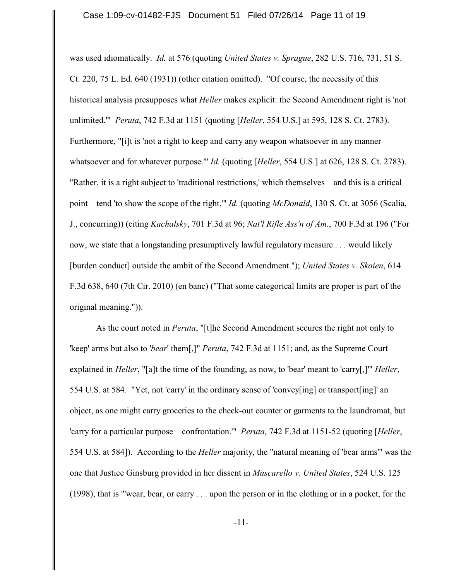was used idiomatically. *Id.* at 576 (quoting *United States v. Sprague*, 282 U.S. 716, 731, 51 S. Ct. 220, 75 L. Ed. 640 (1931)) (other citation omitted). "Of course, the necessity of this historical analysis presupposes what *Heller* makes explicit: the Second Amendment right is 'not unlimited.'" *Peruta*, 742 F.3d at 1151 (quoting [*Heller*, 554 U.S.] at 595, 128 S. Ct. 2783). Furthermore, "[i]t is 'not a right to keep and carry any weapon whatsoever in any manner whatsoever and for whatever purpose.'" *Id.* (quoting [*Heller*, 554 U.S.] at 626, 128 S. Ct. 2783). "Rather, it is a right subject to 'traditional restrictions,' which themselves and this is a critical point tend 'to show the scope of the right.'" *Id.* (quoting *McDonald*, 130 S. Ct. at 3056 (Scalia, J., concurring)) (citing *Kachalsky*, 701 F.3d at 96; *Nat'l Rifle Ass'n of Am.*, 700 F.3d at 196 ("For now, we state that a longstanding presumptively lawful regulatory measure . . . would likely [burden conduct] outside the ambit of the Second Amendment."); *United States v. Skoien*, 614 F.3d 638, 640 (7th Cir. 2010) (en banc) ("That some categorical limits are proper is part of the original meaning.")).

As the court noted in *Peruta*, "[t]he Second Amendment secures the right not only to 'keep' arms but also to '*bear*' them[,]" *Peruta*, 742 F.3d at 1151; and, as the Supreme Court explained in *Heller*, "[a]t the time of the founding, as now, to 'bear' meant to 'carry[,]'" *Heller*, 554 U.S. at 584. "Yet, not 'carry' in the ordinary sense of 'convey[ing] or transport[ing]' an object, as one might carry groceries to the check-out counter or garments to the laundromat, but 'carry for a particular purpose confrontation.'" *Peruta*, 742 F.3d at 1151-52 (quoting [*Heller*, 554 U.S. at 584]). According to the *Heller* majority, the "natural meaning of 'bear arms'" was the one that Justice Ginsburg provided in her dissent in *Muscarello v. United States*, 524 U.S. 125 (1998), that is "'wear, bear, or carry . . . upon the person or in the clothing or in a pocket, for the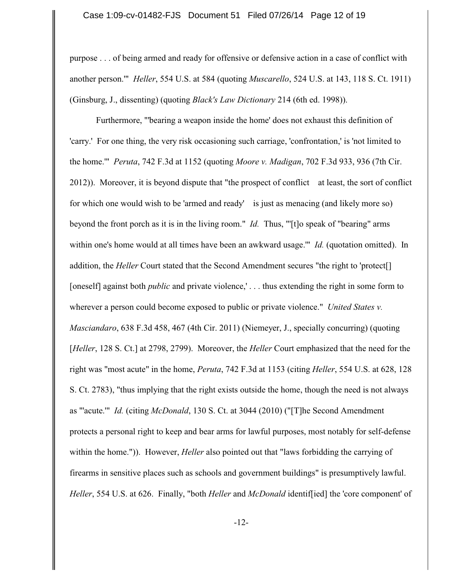purpose . . . of being armed and ready for offensive or defensive action in a case of conflict with another person.'" *Heller*, 554 U.S. at 584 (quoting *Muscarello*, 524 U.S. at 143, 118 S. Ct. 1911) (Ginsburg, J., dissenting) (quoting *Black's Law Dictionary* 214 (6th ed. 1998)).

Furthermore, "'bearing a weapon inside the home' does not exhaust this definition of 'carry.' For one thing, the very risk occasioning such carriage, 'confrontation,' is 'not limited to the home.'" *Peruta*, 742 F.3d at 1152 (quoting *Moore v. Madigan*, 702 F.3d 933, 936 (7th Cir. 2012)). Moreover, it is beyond dispute that "the prospect of conflict at least, the sort of conflict for which one would wish to be 'armed and ready' is just as menacing (and likely more so) beyond the front porch as it is in the living room." *Id.* Thus, "'[t]o speak of "bearing" arms within one's home would at all times have been an awkward usage.'" *Id.* (quotation omitted). In addition, the *Heller* Court stated that the Second Amendment secures "the right to 'protect[] [oneself] against both *public* and private violence,' . . . thus extending the right in some form to wherever a person could become exposed to public or private violence." *United States v. Masciandaro*, 638 F.3d 458, 467 (4th Cir. 2011) (Niemeyer, J., specially concurring) (quoting [*Heller*, 128 S. Ct.] at 2798, 2799). Moreover, the *Heller* Court emphasized that the need for the right was "most acute" in the home, *Peruta*, 742 F.3d at 1153 (citing *Heller*, 554 U.S. at 628, 128 S. Ct. 2783), "thus implying that the right exists outside the home, though the need is not always as "'acute.'" *Id.* (citing *McDonald*, 130 S. Ct. at 3044 (2010) ("[T]he Second Amendment protects a personal right to keep and bear arms for lawful purposes, most notably for self-defense within the home.")). However, *Heller* also pointed out that "laws forbidding the carrying of firearms in sensitive places such as schools and government buildings" is presumptively lawful. *Heller*, 554 U.S. at 626. Finally, "both *Heller* and *McDonald* identif[ied] the 'core component' of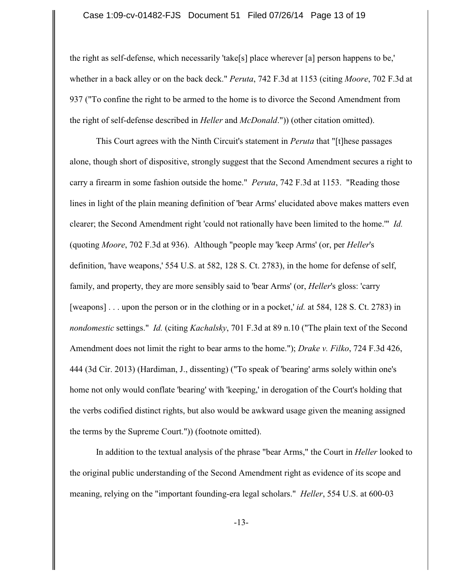#### Case 1:09-cv-01482-FJS Document 51 Filed 07/26/14 Page 13 of 19

the right as self-defense, which necessarily 'take[s] place wherever [a] person happens to be,' whether in a back alley or on the back deck." *Peruta*, 742 F.3d at 1153 (citing *Moore*, 702 F.3d at 937 ("To confine the right to be armed to the home is to divorce the Second Amendment from the right of self-defense described in *Heller* and *McDonald*.")) (other citation omitted).

This Court agrees with the Ninth Circuit's statement in *Peruta* that "[t]hese passages alone, though short of dispositive, strongly suggest that the Second Amendment secures a right to carry a firearm in some fashion outside the home." *Peruta*, 742 F.3d at 1153. "Reading those lines in light of the plain meaning definition of 'bear Arms' elucidated above makes matters even clearer; the Second Amendment right 'could not rationally have been limited to the home.'" *Id.* (quoting *Moore*, 702 F.3d at 936). Although "people may 'keep Arms' (or, per *Heller*'s definition, 'have weapons,' 554 U.S. at 582, 128 S. Ct. 2783), in the home for defense of self, family, and property, they are more sensibly said to 'bear Arms' (or, *Heller*'s gloss: 'carry [weapons] . . . upon the person or in the clothing or in a pocket,' *id.* at 584, 128 S. Ct. 2783) in *nondomestic* settings." *Id.* (citing *Kachalsky*, 701 F.3d at 89 n.10 ("The plain text of the Second Amendment does not limit the right to bear arms to the home."); *Drake v. Filko*, 724 F.3d 426, 444 (3d Cir. 2013) (Hardiman, J., dissenting) ("To speak of 'bearing' arms solely within one's home not only would conflate 'bearing' with 'keeping,' in derogation of the Court's holding that the verbs codified distinct rights, but also would be awkward usage given the meaning assigned the terms by the Supreme Court.")) (footnote omitted).

In addition to the textual analysis of the phrase "bear Arms," the Court in *Heller* looked to the original public understanding of the Second Amendment right as evidence of its scope and meaning, relying on the "important founding-era legal scholars." *Heller*, 554 U.S. at 600-03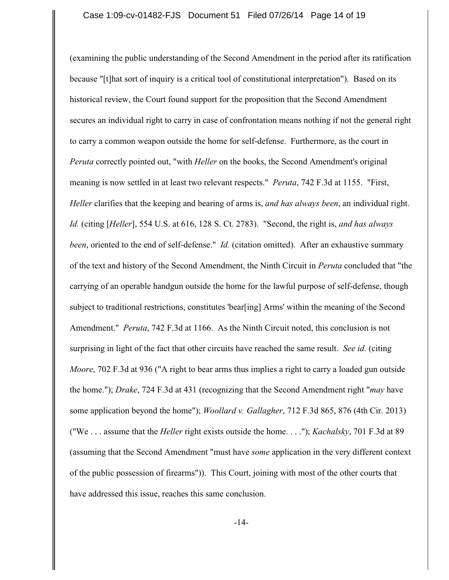(examining the public understanding of the Second Amendment in the period after its ratification because "[t]hat sort of inquiry is a critical tool of constitutional interpretation"). Based on its historical review, the Court found support for the proposition that the Second Amendment secures an individual right to carry in case of confrontation means nothing if not the general right to carry a common weapon outside the home for self-defense. Furthermore, as the court in *Peruta* correctly pointed out, "with *Heller* on the books, the Second Amendment's original meaning is now settled in at least two relevant respects." *Peruta*, 742 F.3d at 1155. "First, *Heller* clarifies that the keeping and bearing of arms is, *and has always been*, an individual right. *Id.* (citing [*Heller*], 554 U.S. at 616, 128 S. Ct. 2783). "Second, the right is, *and has always been*, oriented to the end of self-defense." *Id.* (citation omitted). After an exhaustive summary of the text and history of the Second Amendment, the Ninth Circuit in *Peruta* concluded that "the carrying of an operable handgun outside the home for the lawful purpose of self-defense, though subject to traditional restrictions, constitutes 'bear[ing] Arms' within the meaning of the Second Amendment." *Peruta*, 742 F.3d at 1166. As the Ninth Circuit noted, this conclusion is not surprising in light of the fact that other circuits have reached the same result. *See id.* (citing *Moore*, 702 F.3d at 936 ("A right to bear arms thus implies a right to carry a loaded gun outside the home."); *Drake*, 724 F.3d at 431 (recognizing that the Second Amendment right "*may* have some application beyond the home"); *Woollard v. Gallagher*, 712 F.3d 865, 876 (4th Cir. 2013) ("We . . . assume that the *Heller* right exists outside the home. . . ."); *Kachalsky*, 701 F.3d at 89 (assuming that the Second Amendment "must have *some* application in the very different context of the public possession of firearms")). This Court, joining with most of the other courts that have addressed this issue, reaches this same conclusion.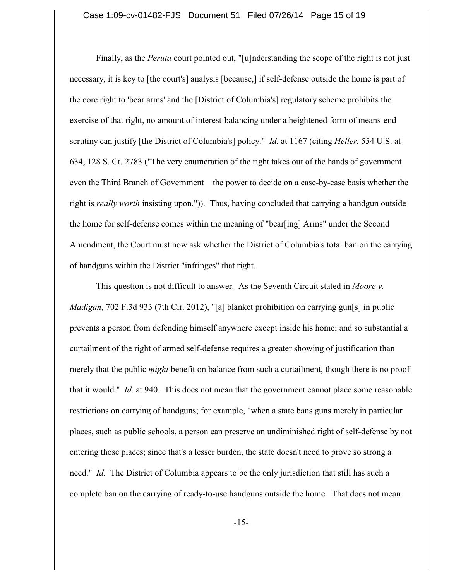Finally, as the *Peruta* court pointed out, "[u]nderstanding the scope of the right is not just necessary, it is key to [the court's] analysis [because,] if self-defense outside the home is part of the core right to 'bear arms' and the [District of Columbia's] regulatory scheme prohibits the exercise of that right, no amount of interest-balancing under a heightened form of means-end scrutiny can justify [the District of Columbia's] policy." *Id.* at 1167 (citing *Heller*, 554 U.S. at 634, 128 S. Ct. 2783 ("The very enumeration of the right takes out of the hands of government even the Third Branch of Government the power to decide on a case-by-case basis whether the right is *really worth* insisting upon.")). Thus, having concluded that carrying a handgun outside the home for self-defense comes within the meaning of "bear[ing] Arms" under the Second Amendment, the Court must now ask whether the District of Columbia's total ban on the carrying of handguns within the District "infringes" that right.

This question is not difficult to answer. As the Seventh Circuit stated in *Moore v. Madigan*, 702 F.3d 933 (7th Cir. 2012), "[a] blanket prohibition on carrying gun[s] in public prevents a person from defending himself anywhere except inside his home; and so substantial a curtailment of the right of armed self-defense requires a greater showing of justification than merely that the public *might* benefit on balance from such a curtailment, though there is no proof that it would." *Id.* at 940. This does not mean that the government cannot place some reasonable restrictions on carrying of handguns; for example, "when a state bans guns merely in particular places, such as public schools, a person can preserve an undiminished right of self-defense by not entering those places; since that's a lesser burden, the state doesn't need to prove so strong a need." *Id.* The District of Columbia appears to be the only jurisdiction that still has such a complete ban on the carrying of ready-to-use handguns outside the home. That does not mean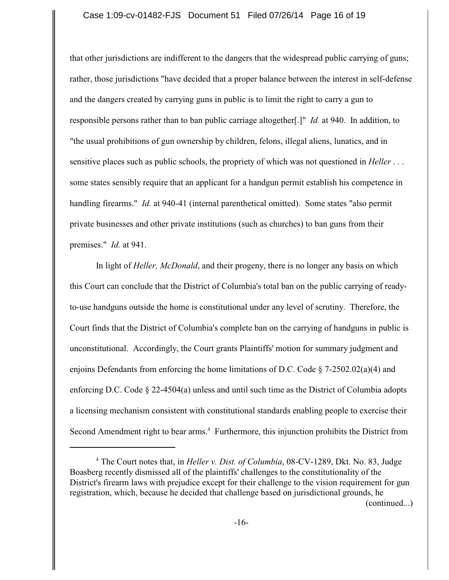### Case 1:09-cv-01482-FJS Document 51 Filed 07/26/14 Page 16 of 19

that other jurisdictions are indifferent to the dangers that the widespread public carrying of guns; rather, those jurisdictions "have decided that a proper balance between the interest in self-defense and the dangers created by carrying guns in public is to limit the right to carry a gun to responsible persons rather than to ban public carriage altogether[.]" *Id.* at 940. In addition, to "the usual prohibitions of gun ownership by children, felons, illegal aliens, lunatics, and in sensitive places such as public schools, the propriety of which was not questioned in *Heller* . . . some states sensibly require that an applicant for a handgun permit establish his competence in handling firearms." *Id.* at 940-41 (internal parenthetical omitted). Some states "also permit private businesses and other private institutions (such as churches) to ban guns from their premises." *Id.* at 941.

In light of *Heller, McDonald*, and their progeny, there is no longer any basis on which this Court can conclude that the District of Columbia's total ban on the public carrying of readyto-use handguns outside the home is constitutional under any level of scrutiny. Therefore, the Court finds that the District of Columbia's complete ban on the carrying of handguns in public is unconstitutional. Accordingly, the Court grants Plaintiffs' motion for summary judgment and enjoins Defendants from enforcing the home limitations of D.C. Code  $\S$  7-2502.02(a)(4) and enforcing D.C. Code § 22-4504(a) unless and until such time as the District of Columbia adopts a licensing mechanism consistent with constitutional standards enabling people to exercise their Second Amendment right to bear arms.<sup>4</sup> Furthermore, this injunction prohibits the District from

<sup>&</sup>lt;sup>4</sup> The Court notes that, in *Heller v. Dist. of Columbia*, 08-CV-1289, Dkt. No. 83, Judge Boasberg recently dismissed all of the plaintiffs' challenges to the constitutionality of the District's firearm laws with prejudice except for their challenge to the vision requirement for gun registration, which, because he decided that challenge based on jurisdictional grounds, he (continued...)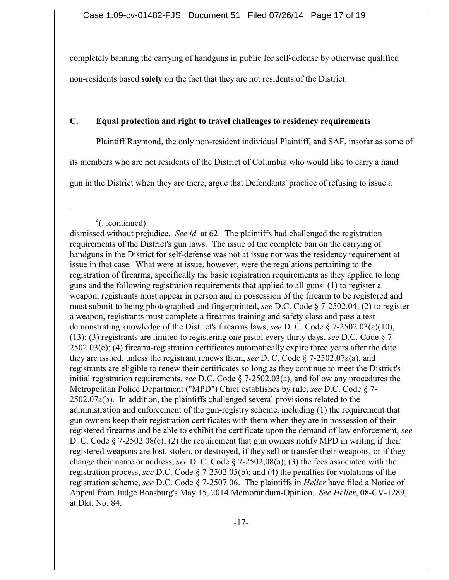completely banning the carrying of handguns in public for self-defense by otherwise qualified non-residents based **solely** on the fact that they are not residents of the District.

# **C. Equal protection and right to travel challenges to residency requirements**

Plaintiff Raymond, the only non-resident individual Plaintiff, and SAF, insofar as some of

its members who are not residents of the District of Columbia who would like to carry a hand

gun in the District when they are there, argue that Defendants' practice of refusing to issue a

 $4$ (...continued)

dismissed without prejudice. *See id.* at 62. The plaintiffs had challenged the registration requirements of the District's gun laws. The issue of the complete ban on the carrying of handguns in the District for self-defense was not at issue nor was the residency requirement at issue in that case. What were at issue, however, were the regulations pertaining to the registration of firearms, specifically the basic registration requirements as they applied to long guns and the following registration requirements that applied to all guns: (1) to register a weapon, registrants must appear in person and in possession of the firearm to be registered and must submit to being photographed and fingerprinted, *see* D.C. Code § 7-2502.04; (2) to register a weapon, registrants must complete a firearms-training and safety class and pass a test demonstrating knowledge of the District's firearms laws, *see* D. C. Code § 7-2502.03(a)(10), (13); (3) registrants are limited to registering one pistol every thirty days, *see* D.C. Code § 7- 2502.03(e); (4) firearm-registration certificates automatically expire three years after the date they are issued, unless the registrant renews them, *see* D. C. Code § 7-2502.07a(a), and registrants are eligible to renew their certificates so long as they continue to meet the District's initial registration requirements, *see* D.C. Code § 7-2502.03(a), and follow any procedures the Metropolitan Police Department ("MPD") Chief establishes by rule, *see* D.C. Code § 7- 2502.07a(b). In addition, the plaintiffs challenged several provisions related to the administration and enforcement of the gun-registry scheme, including (1) the requirement that gun owners keep their registration certificates with them when they are in possession of their registered firearms and be able to exhibit the certificate upon the demand of law enforcement, *see* D. C. Code  $\S$  7-2502.08(c); (2) the requirement that gun owners notify MPD in writing if their registered weapons are lost, stolen, or destroyed, if they sell or transfer their weapons, or if they change their name or address, *see* D. C. Code § 7-2502,08(a); (3) the fees associated with the registration process, *see* D.C. Code § 7-2502.05(b); and (4) the penalties for violations of the registration scheme, *see* D.C. Code § 7-2507.06. The plaintiffs in *Heller* have filed a Notice of Appeal from Judge Boasburg's May 15, 2014 Memorandum-Opinion. *See Heller*, 08-CV-1289, at Dkt. No. 84.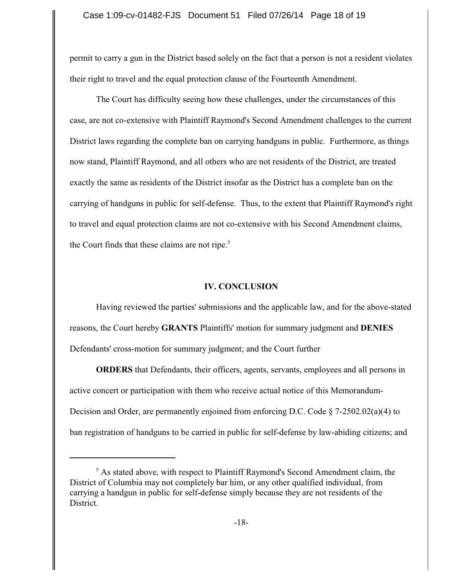permit to carry a gun in the District based solely on the fact that a person is not a resident violates their right to travel and the equal protection clause of the Fourteenth Amendment.

The Court has difficulty seeing how these challenges, under the circumstances of this case, are not co-extensive with Plaintiff Raymond's Second Amendment challenges to the current District laws regarding the complete ban on carrying handguns in public. Furthermore, as things now stand, Plaintiff Raymond, and all others who are not residents of the District, are treated exactly the same as residents of the District insofar as the District has a complete ban on the carrying of handguns in public for self-defense. Thus, to the extent that Plaintiff Raymond's right to travel and equal protection claims are not co-extensive with his Second Amendment claims, the Court finds that these claims are not ripe. $5$ 

### **IV. CONCLUSION**

Having reviewed the parties' submissions and the applicable law, and for the above-stated reasons, the Court hereby **GRANTS** Plaintiffs' motion for summary judgment and **DENIES** Defendants' cross-motion for summary judgment; and the Court further

**ORDERS** that Defendants, their officers, agents, servants, employees and all persons in active concert or participation with them who receive actual notice of this Memorandum-Decision and Order, are permanently enjoined from enforcing D.C. Code  $\S$  7-2502.02(a)(4) to ban registration of handguns to be carried in public for self-defense by law-abiding citizens; and

 $<sup>5</sup>$  As stated above, with respect to Plaintiff Raymond's Second Amendment claim, the</sup> District of Columbia may not completely bar him, or any other qualified individual, from carrying a handgun in public for self-defense simply because they are not residents of the **District**